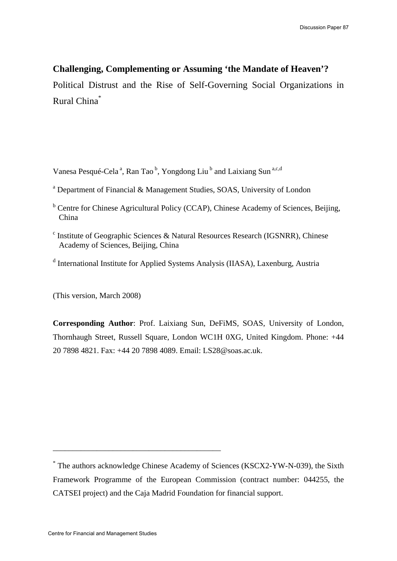# **Challenging, Complementing or Assuming 'the Mandate of Heaven'?**

Political Distrust and the Rise of Self-Governing Social Organizations in Rural China\*

Vanesa Pesqué-Cela<sup>a</sup>, Ran Tao<sup>b</sup>, Yongdong Liu<sup>b</sup> and Laixiang Sun<sup>a,c,d</sup>

- <sup>b</sup> Centre for Chinese Agricultural Policy (CCAP), Chinese Academy of Sciences, Beijing, China
- <sup>c</sup> Institute of Geographic Sciences & Natural Resources Research (IGSNRR), Chinese Academy of Sciences, Beijing, China
- <sup>d</sup> International Institute for Applied Systems Analysis (IIASA), Laxenburg, Austria

(This version, March 2008)

**Corresponding Author**: Prof. Laixiang Sun, DeFiMS, SOAS, University of London, Thornhaugh Street, Russell Square, London WC1H 0XG, United Kingdom. Phone: +44 20 7898 4821. Fax: +44 20 7898 4089. Email: LS28@soas.ac.uk.

\_\_\_\_\_\_\_\_\_\_\_\_\_\_\_\_\_\_\_\_\_\_\_\_\_\_\_\_\_\_\_\_\_\_\_\_\_\_\_\_\_\_

<sup>&</sup>lt;sup>a</sup> Department of Financial & Management Studies, SOAS, University of London

<sup>\*</sup> The authors acknowledge Chinese Academy of Sciences (KSCX2-YW-N-039), the Sixth Framework Programme of the European Commission (contract number: 044255, the CATSEI project) and the Caja Madrid Foundation for financial support.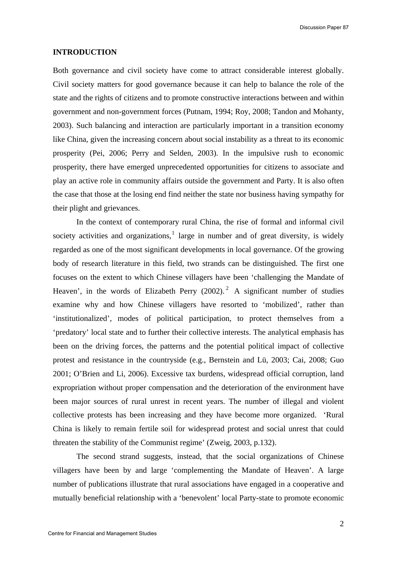Discussion Paper 87

#### **INTRODUCTION**

Both governance and civil society have come to attract considerable interest globally. Civil society matters for good governance because it can help to balance the role of the state and the rights of citizens and to promote constructive interactions between and within government and non-government forces (Putnam, 1994; Roy, 2008; Tandon and Mohanty, 2003). Such balancing and interaction are particularly important in a transition economy like China, given the increasing concern about social instability as a threat to its economic prosperity (Pei, 2006; Perry and Selden, 2003). In the impulsive rush to economic prosperity, there have emerged unprecedented opportunities for citizens to associate and play an active role in community affairs outside the government and Party. It is also often the case that those at the losing end find neither the state nor business having sympathy for their plight and grievances.

In the context of contemporary rural China, the rise of formal and informal civil society activities and organizations,  $1$  large in number and of great diversity, is widely regarded as one of the most significant developments in local governance. Of the growing body of research literature in this field, two strands can be distinguished. The first one focuses on the extent to which Chinese villagers have been 'challenging the Mandate of Heaven', in the words of Elizabeth Perry  $(2002)$  $(2002)$  $(2002)$ .<sup>2</sup> A significant number of studies examine why and how Chinese villagers have resorted to 'mobilized', rather than 'institutionalized', modes of political participation, to protect themselves from a 'predatory' local state and to further their collective interests. The analytical emphasis has been on the driving forces, the patterns and the potential political impact of collective protest and resistance in the countryside (e.g., Bernstein and Lü, 2003; Cai, 2008; Guo 2001; O'Brien and Li, 2006). Excessive tax burdens, widespread official corruption, land expropriation without proper compensation and the deterioration of the environment have been major sources of rural unrest in recent years. The number of illegal and violent collective protests has been increasing and they have become more organized. 'Rural China is likely to remain fertile soil for widespread protest and social unrest that could threaten the stability of the Communist regime' (Zweig, 2003, p.132).

The second strand suggests, instead, that the social organizations of Chinese villagers have been by and large 'complementing the Mandate of Heaven'. A large number of publications illustrate that rural associations have engaged in a cooperative and mutually beneficial relationship with a 'benevolent' local Party-state to promote economic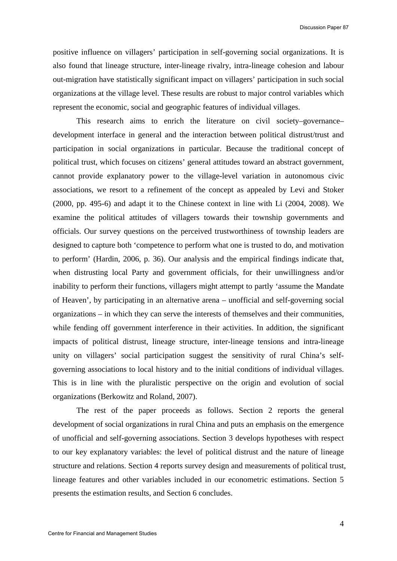positive influence on villagers' participation in self-governing social organizations. It is also found that lineage structure, inter-lineage rivalry, intra-lineage cohesion and labour out-migration have statistically significant impact on villagers' participation in such social organizations at the village level. These results are robust to major control variables which represent the economic, social and geographic features of individual villages.

This research aims to enrich the literature on civil society–governance– development interface in general and the interaction between political distrust/trust and participation in social organizations in particular. Because the traditional concept of political trust, which focuses on citizens' general attitudes toward an abstract government, cannot provide explanatory power to the village-level variation in autonomous civic associations, we resort to a refinement of the concept as appealed by Levi and Stoker (2000, pp. 495-6) and adapt it to the Chinese context in line with Li (2004, 2008). We examine the political attitudes of villagers towards their township governments and officials. Our survey questions on the perceived trustworthiness of township leaders are designed to capture both 'competence to perform what one is trusted to do, and motivation to perform' (Hardin, 2006, p. 36). Our analysis and the empirical findings indicate that, when distrusting local Party and government officials, for their unwillingness and/or inability to perform their functions, villagers might attempt to partly 'assume the Mandate of Heaven', by participating in an alternative arena – unofficial and self-governing social organizations – in which they can serve the interests of themselves and their communities, while fending off government interference in their activities. In addition, the significant impacts of political distrust, lineage structure, inter-lineage tensions and intra-lineage unity on villagers' social participation suggest the sensitivity of rural China's selfgoverning associations to local history and to the initial conditions of individual villages. This is in line with the pluralistic perspective on the origin and evolution of social organizations (Berkowitz and Roland, 2007).

The rest of the paper proceeds as follows. Section 2 reports the general development of social organizations in rural China and puts an emphasis on the emergence of unofficial and self-governing associations. Section 3 develops hypotheses with respect to our key explanatory variables: the level of political distrust and the nature of lineage structure and relations. Section 4 reports survey design and measurements of political trust, lineage features and other variables included in our econometric estimations. Section 5 presents the estimation results, and Section 6 concludes.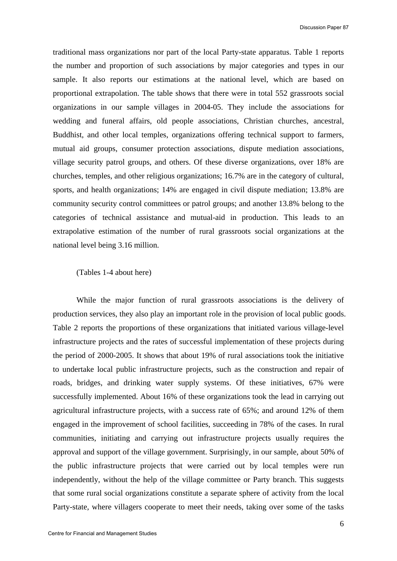traditional mass organizations nor part of the local Party-state apparatus. Table 1 reports the number and proportion of such associations by major categories and types in our sample. It also reports our estimations at the national level, which are based on proportional extrapolation. The table shows that there were in total 552 grassroots social organizations in our sample villages in 2004-05. They include the associations for wedding and funeral affairs, old people associations, Christian churches, ancestral, Buddhist, and other local temples, organizations offering technical support to farmers, mutual aid groups, consumer protection associations, dispute mediation associations, village security patrol groups, and others. Of these diverse organizations, over 18% are churches, temples, and other religious organizations; 16.7% are in the category of cultural, sports, and health organizations; 14% are engaged in civil dispute mediation; 13.8% are community security control committees or patrol groups; and another 13.8% belong to the categories of technical assistance and mutual-aid in production. This leads to an extrapolative estimation of the number of rural grassroots social organizations at the national level being 3.16 million.

#### (Tables 1-4 about here)

 While the major function of rural grassroots associations is the delivery of production services, they also play an important role in the provision of local public goods. Table 2 reports the proportions of these organizations that initiated various village-level infrastructure projects and the rates of successful implementation of these projects during the period of 2000-2005. It shows that about 19% of rural associations took the initiative to undertake local public infrastructure projects, such as the construction and repair of roads, bridges, and drinking water supply systems. Of these initiatives, 67% were successfully implemented. About 16% of these organizations took the lead in carrying out agricultural infrastructure projects, with a success rate of 65%; and around 12% of them engaged in the improvement of school facilities, succeeding in 78% of the cases. In rural communities, initiating and carrying out infrastructure projects usually requires the approval and support of the village government. Surprisingly, in our sample, about 50% of the public infrastructure projects that were carried out by local temples were run independently, without the help of the village committee or Party branch. This suggests that some rural social organizations constitute a separate sphere of activity from the local Party-state, where villagers cooperate to meet their needs, taking over some of the tasks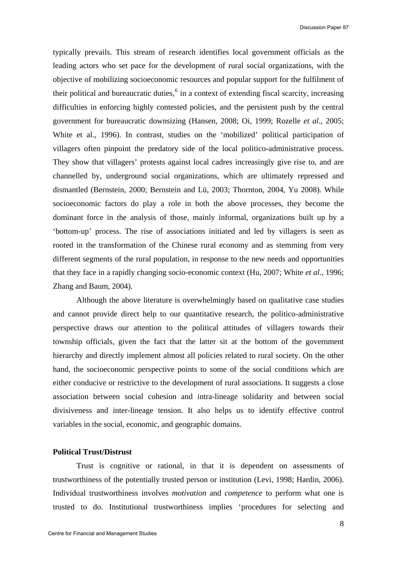typically prevails. This stream of research identifies local government officials as the leading actors who set pace for the development of rural social organizations, with the objective of mobilizing socioeconomic resources and popular support for the fulfilment of their political and bureaucratic duties, $6$  in a context of extending fiscal scarcity, increasing difficulties in enforcing highly contested policies, and the persistent push by the central government for bureaucratic downsizing (Hansen, 2008; Oi, 1999; Rozelle *et al*., 2005; White et al., 1996). In contrast, studies on the 'mobilized' political participation of villagers often pinpoint the predatory side of the local politico-administrative process. They show that villagers' protests against local cadres increasingly give rise to, and are channelled by, underground social organizations, which are ultimately repressed and dismantled (Bernstein, 2000; Bernstein and Lü, 2003; Thornton, 2004, Yu 2008). While socioeconomic factors do play a role in both the above processes, they become the dominant force in the analysis of those, mainly informal, organizations built up by a 'bottom-up' process. The rise of associations initiated and led by villagers is seen as rooted in the transformation of the Chinese rural economy and as stemming from very different segments of the rural population, in response to the new needs and opportunities that they face in a rapidly changing socio-economic context (Hu, 2007; White *et al*., 1996; Zhang and Baum, 2004).

Although the above literature is overwhelmingly based on qualitative case studies and cannot provide direct help to our quantitative research, the politico-administrative perspective draws our attention to the political attitudes of villagers towards their township officials, given the fact that the latter sit at the bottom of the government hierarchy and directly implement almost all policies related to rural society. On the other hand, the socioeconomic perspective points to some of the social conditions which are either conducive or restrictive to the development of rural associations. It suggests a close association between social cohesion and intra-lineage solidarity and between social divisiveness and inter-lineage tension. It also helps us to identify effective control variables in the social, economic, and geographic domains.

## **Political Trust/Distrust**

Trust is cognitive or rational, in that it is dependent on assessments of trustworthiness of the potentially trusted person or institution (Levi, 1998; Hardin, 2006). Individual trustworthiness involves *motivation* and *competence* to perform what one is trusted to do. Institutional trustworthiness implies 'procedures for selecting and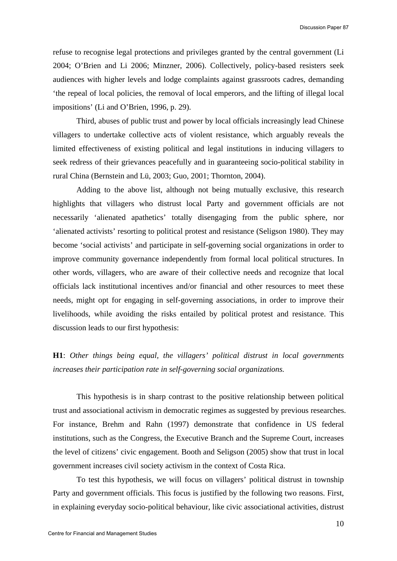refuse to recognise legal protections and privileges granted by the central government (Li 2004; O'Brien and Li 2006; Minzner, 2006). Collectively, policy-based resisters seek audiences with higher levels and lodge complaints against grassroots cadres, demanding 'the repeal of local policies, the removal of local emperors, and the lifting of illegal local impositions' (Li and O'Brien, 1996, p. 29).

Third, abuses of public trust and power by local officials increasingly lead Chinese villagers to undertake collective acts of violent resistance, which arguably reveals the limited effectiveness of existing political and legal institutions in inducing villagers to seek redress of their grievances peacefully and in guaranteeing socio-political stability in rural China (Bernstein and Lü, 2003; Guo, 2001; Thornton, 2004).

Adding to the above list, although not being mutually exclusive, this research highlights that villagers who distrust local Party and government officials are not necessarily 'alienated apathetics' totally disengaging from the public sphere, nor 'alienated activists' resorting to political protest and resistance (Seligson 1980). They may become 'social activists' and participate in self-governing social organizations in order to improve community governance independently from formal local political structures. In other words, villagers, who are aware of their collective needs and recognize that local officials lack institutional incentives and/or financial and other resources to meet these needs, might opt for engaging in self-governing associations, in order to improve their livelihoods, while avoiding the risks entailed by political protest and resistance. This discussion leads to our first hypothesis:

## **H1**: *Other things being equal, the villagers' political distrust in local governments increases their participation rate in self-governing social organizations.*

This hypothesis is in sharp contrast to the positive relationship between political trust and associational activism in democratic regimes as suggested by previous researches. For instance, Brehm and Rahn (1997) demonstrate that confidence in US federal institutions, such as the Congress, the Executive Branch and the Supreme Court, increases the level of citizens' civic engagement. Booth and Seligson (2005) show that trust in local government increases civil society activism in the context of Costa Rica.

To test this hypothesis, we will focus on villagers' political distrust in township Party and government officials. This focus is justified by the following two reasons. First, in explaining everyday socio-political behaviour, like civic associational activities, distrust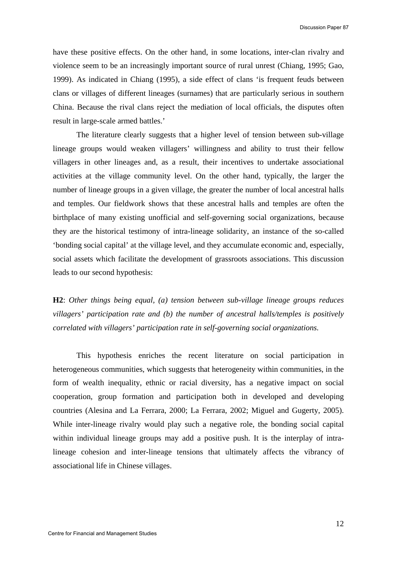have these positive effects. On the other hand, in some locations, inter-clan rivalry and violence seem to be an increasingly important source of rural unrest (Chiang, 1995; Gao, 1999). As indicated in Chiang (1995), a side effect of clans 'is frequent feuds between clans or villages of different lineages (surnames) that are particularly serious in southern China. Because the rival clans reject the mediation of local officials, the disputes often result in large-scale armed battles.'

The literature clearly suggests that a higher level of tension between sub-village lineage groups would weaken villagers' willingness and ability to trust their fellow villagers in other lineages and, as a result, their incentives to undertake associational activities at the village community level. On the other hand, typically, the larger the number of lineage groups in a given village, the greater the number of local ancestral halls and temples. Our fieldwork shows that these ancestral halls and temples are often the birthplace of many existing unofficial and self-governing social organizations, because they are the historical testimony of intra-lineage solidarity, an instance of the so-called 'bonding social capital' at the village level, and they accumulate economic and, especially, social assets which facilitate the development of grassroots associations. This discussion leads to our second hypothesis:

**H2**: *Other things being equal, (a) tension between sub-village lineage groups reduces villagers' participation rate and (b) the number of ancestral halls/temples is positively correlated with villagers' participation rate in self-governing social organizations.*

 This hypothesis enriches the recent literature on social participation in heterogeneous communities, which suggests that heterogeneity within communities, in the form of wealth inequality, ethnic or racial diversity, has a negative impact on social cooperation, group formation and participation both in developed and developing countries (Alesina and La Ferrara, 2000; La Ferrara, 2002; Miguel and Gugerty, 2005). While inter-lineage rivalry would play such a negative role, the bonding social capital within individual lineage groups may add a positive push. It is the interplay of intralineage cohesion and inter-lineage tensions that ultimately affects the vibrancy of associational life in Chinese villages.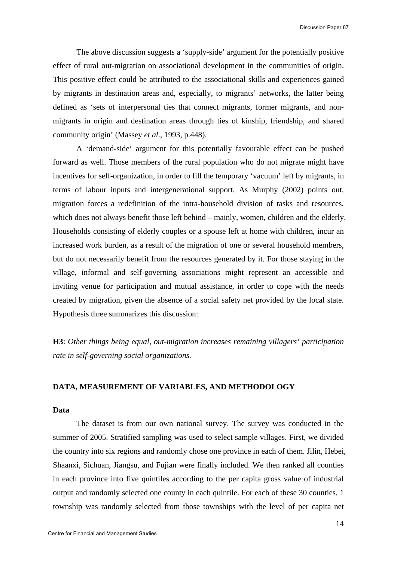The above discussion suggests a 'supply-side' argument for the potentially positive effect of rural out-migration on associational development in the communities of origin. This positive effect could be attributed to the associational skills and experiences gained by migrants in destination areas and, especially, to migrants' networks, the latter being defined as 'sets of interpersonal ties that connect migrants, former migrants, and nonmigrants in origin and destination areas through ties of kinship, friendship, and shared community origin' (Massey *et al*., 1993, p.448).

A 'demand-side' argument for this potentially favourable effect can be pushed forward as well. Those members of the rural population who do not migrate might have incentives for self-organization, in order to fill the temporary 'vacuum' left by migrants, in terms of labour inputs and intergenerational support. As Murphy (2002) points out, migration forces a redefinition of the intra-household division of tasks and resources, which does not always benefit those left behind – mainly, women, children and the elderly. Households consisting of elderly couples or a spouse left at home with children, incur an increased work burden, as a result of the migration of one or several household members, but do not necessarily benefit from the resources generated by it. For those staying in the village, informal and self-governing associations might represent an accessible and inviting venue for participation and mutual assistance, in order to cope with the needs created by migration, given the absence of a social safety net provided by the local state. Hypothesis three summarizes this discussion:

**H3**: *Other things being equal, out-migration increases remaining villagers' participation rate in self-governing social organizations.*

## **DATA, MEASUREMENT OF VARIABLES, AND METHODOLOGY**

#### **Data**

The dataset is from our own national survey. The survey was conducted in the summer of 2005. Stratified sampling was used to select sample villages. First, we divided the country into six regions and randomly chose one province in each of them. Jilin, Hebei, Shaanxi, Sichuan, Jiangsu, and Fujian were finally included. We then ranked all counties in each province into five quintiles according to the per capita gross value of industrial output and randomly selected one county in each quintile. For each of these 30 counties, 1 township was randomly selected from those townships with the level of per capita net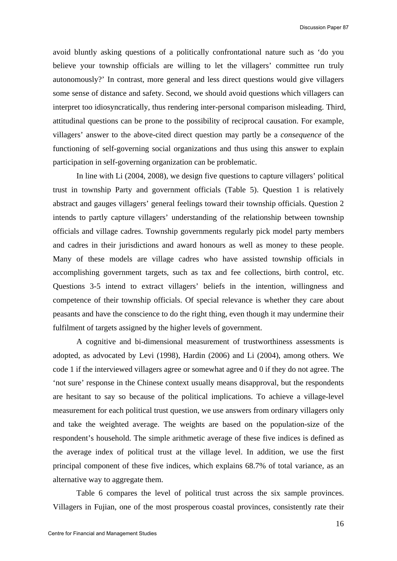avoid bluntly asking questions of a politically confrontational nature such as 'do you believe your township officials are willing to let the villagers' committee run truly autonomously?' In contrast, more general and less direct questions would give villagers some sense of distance and safety. Second, we should avoid questions which villagers can interpret too idiosyncratically, thus rendering inter-personal comparison misleading. Third, attitudinal questions can be prone to the possibility of reciprocal causation. For example, villagers' answer to the above-cited direct question may partly be a *consequence* of the functioning of self-governing social organizations and thus using this answer to explain participation in self-governing organization can be problematic.

In line with Li (2004, 2008), we design five questions to capture villagers' political trust in township Party and government officials (Table 5). Question 1 is relatively abstract and gauges villagers' general feelings toward their township officials. Question 2 intends to partly capture villagers' understanding of the relationship between township officials and village cadres. Township governments regularly pick model party members and cadres in their jurisdictions and award honours as well as money to these people. Many of these models are village cadres who have assisted township officials in accomplishing government targets, such as tax and fee collections, birth control, etc. Questions 3-5 intend to extract villagers' beliefs in the intention, willingness and competence of their township officials. Of special relevance is whether they care about peasants and have the conscience to do the right thing, even though it may undermine their fulfilment of targets assigned by the higher levels of government.

A cognitive and bi-dimensional measurement of trustworthiness assessments is adopted, as advocated by Levi (1998), Hardin (2006) and Li (2004), among others. We code 1 if the interviewed villagers agree or somewhat agree and 0 if they do not agree. The 'not sure' response in the Chinese context usually means disapproval, but the respondents are hesitant to say so because of the political implications. To achieve a village-level measurement for each political trust question, we use answers from ordinary villagers only and take the weighted average. The weights are based on the population-size of the respondent's household. The simple arithmetic average of these five indices is defined as the average index of political trust at the village level. In addition, we use the first principal component of these five indices, which explains 68.7% of total variance, as an alternative way to aggregate them.

Table 6 compares the level of political trust across the six sample provinces. Villagers in Fujian, one of the most prosperous coastal provinces, consistently rate their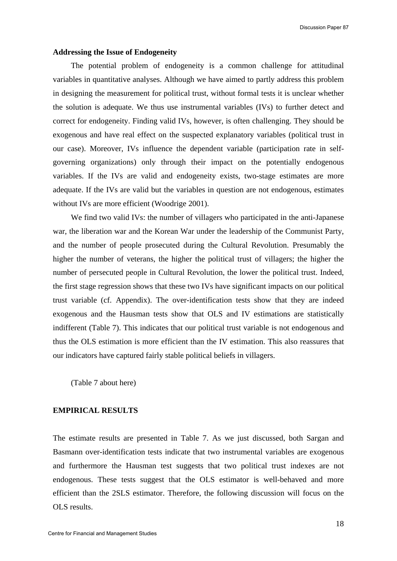#### **Addressing the Issue of Endogeneity**

The potential problem of endogeneity is a common challenge for attitudinal variables in quantitative analyses. Although we have aimed to partly address this problem in designing the measurement for political trust, without formal tests it is unclear whether the solution is adequate. We thus use instrumental variables (IVs) to further detect and correct for endogeneity. Finding valid IVs, however, is often challenging. They should be exogenous and have real effect on the suspected explanatory variables (political trust in our case). Moreover, IVs influence the dependent variable (participation rate in selfgoverning organizations) only through their impact on the potentially endogenous variables. If the IVs are valid and endogeneity exists, two-stage estimates are more adequate. If the IVs are valid but the variables in question are not endogenous, estimates without IVs are more efficient (Woodrige 2001).

We find two valid IVs: the number of villagers who participated in the anti-Japanese war, the liberation war and the Korean War under the leadership of the Communist Party, and the number of people prosecuted during the Cultural Revolution. Presumably the higher the number of veterans, the higher the political trust of villagers; the higher the number of persecuted people in Cultural Revolution, the lower the political trust. Indeed, the first stage regression shows that these two IVs have significant impacts on our political trust variable (cf. Appendix). The over-identification tests show that they are indeed exogenous and the Hausman tests show that OLS and IV estimations are statistically indifferent (Table 7). This indicates that our political trust variable is not endogenous and thus the OLS estimation is more efficient than the IV estimation. This also reassures that our indicators have captured fairly stable political beliefs in villagers.

(Table 7 about here)

### **EMPIRICAL RESULTS**

The estimate results are presented in Table 7. As we just discussed, both Sargan and Basmann over-identification tests indicate that two instrumental variables are exogenous and furthermore the Hausman test suggests that two political trust indexes are not endogenous. These tests suggest that the OLS estimator is well-behaved and more efficient than the 2SLS estimator. Therefore, the following discussion will focus on the OLS results.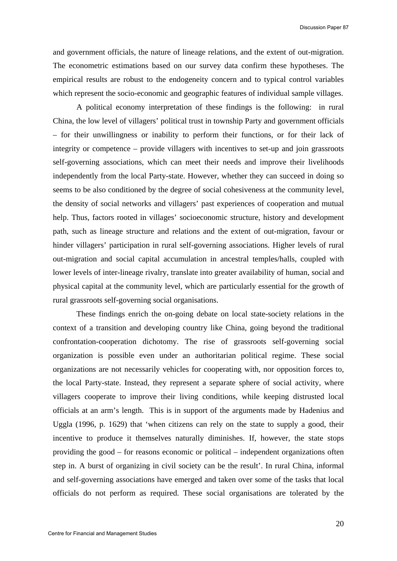and government officials, the nature of lineage relations, and the extent of out-migration. The econometric estimations based on our survey data confirm these hypotheses. The empirical results are robust to the endogeneity concern and to typical control variables which represent the socio-economic and geographic features of individual sample villages.

A political economy interpretation of these findings is the following: in rural China, the low level of villagers' political trust in township Party and government officials – for their unwillingness or inability to perform their functions, or for their lack of integrity or competence – provide villagers with incentives to set-up and join grassroots self-governing associations, which can meet their needs and improve their livelihoods independently from the local Party-state. However, whether they can succeed in doing so seems to be also conditioned by the degree of social cohesiveness at the community level, the density of social networks and villagers' past experiences of cooperation and mutual help. Thus, factors rooted in villages' socioeconomic structure, history and development path, such as lineage structure and relations and the extent of out-migration, favour or hinder villagers' participation in rural self-governing associations. Higher levels of rural out-migration and social capital accumulation in ancestral temples/halls, coupled with lower levels of inter-lineage rivalry, translate into greater availability of human, social and physical capital at the community level, which are particularly essential for the growth of rural grassroots self-governing social organisations.

These findings enrich the on-going debate on local state-society relations in the context of a transition and developing country like China, going beyond the traditional confrontation-cooperation dichotomy. The rise of grassroots self-governing social organization is possible even under an authoritarian political regime. These social organizations are not necessarily vehicles for cooperating with, nor opposition forces to, the local Party-state. Instead, they represent a separate sphere of social activity, where villagers cooperate to improve their living conditions, while keeping distrusted local officials at an arm's length. This is in support of the arguments made by Hadenius and Uggla (1996, p. 1629) that 'when citizens can rely on the state to supply a good, their incentive to produce it themselves naturally diminishes. If, however, the state stops providing the good – for reasons economic or political – independent organizations often step in. A burst of organizing in civil society can be the result'. In rural China, informal and self-governing associations have emerged and taken over some of the tasks that local officials do not perform as required. These social organisations are tolerated by the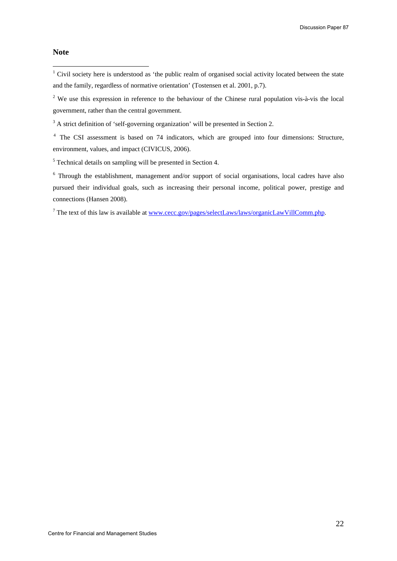## **Note**

 $\overline{a}$ 

<sup>1</sup> Civil society here is understood as 'the public realm of organised social activity located between the state and the family, regardless of normative orientation' (Tostensen et al. 2001, p.7).

<sup>2</sup> We use this expression in reference to the behaviour of the Chinese rural population vis-à-vis the local government, rather than the central government.

 $3$  A strict definition of 'self-governing organization' will be presented in Section 2.

<sup>4</sup> The CSI assessment is based on 74 indicators, which are grouped into four dimensions: Structure, environment, values, and impact (CIVICUS, 2006).

 $<sup>5</sup>$  Technical details on sampling will be presented in Section 4.</sup>

<sup>6</sup> Through the establishment, management and/or support of social organisations, local cadres have also pursued their individual goals, such as increasing their personal income, political power, prestige and connections (Hansen 2008).

<sup>7</sup> The text of this law is available at <u>www.cecc.gov/pages/selectLaws/laws/organicLawVillComm.php</u>.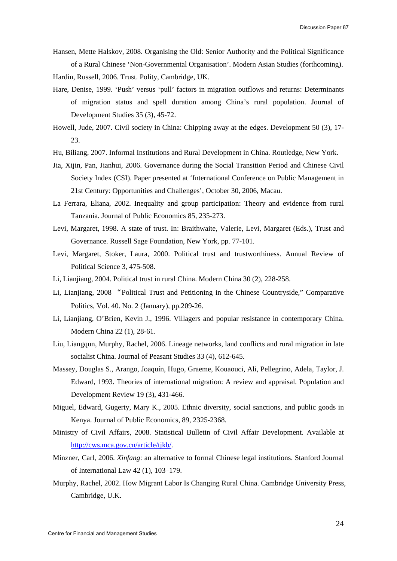- Hansen, Mette Halskov, 2008. Organising the Old: Senior Authority and the Political Significance of a Rural Chinese 'Non-Governmental Organisation'. Modern Asian Studies (forthcoming).
- Hardin, Russell, 2006. Trust. Polity, Cambridge, UK.
- Hare, Denise, 1999. 'Push' versus 'pull' factors in migration outflows and returns: Determinants of migration status and spell duration among China's rural population. Journal of Development Studies 35 (3), 45-72.
- Howell, Jude, 2007. Civil society in China: Chipping away at the edges. Development 50 (3), 17- 23.
- Hu, Biliang, 2007. Informal Institutions and Rural Development in China. Routledge, New York.
- Jia, Xijin, Pan, Jianhui, 2006. Governance during the Social Transition Period and Chinese Civil Society Index (CSI). Paper presented at 'International Conference on Public Management in 21st Century: Opportunities and Challenges', October 30, 2006, Macau.
- La Ferrara, Eliana, 2002. Inequality and group participation: Theory and evidence from rural Tanzania. Journal of Public Economics 85, 235-273.
- Levi, Margaret, 1998. A state of trust. In: Braithwaite, Valerie, Levi, Margaret (Eds.), Trust and Governance. Russell Sage Foundation, New York, pp. 77-101.
- Levi, Margaret, Stoker, Laura, 2000. Political trust and trustworthiness. Annual Review of Political Science 3, 475-508.
- Li, Lianjiang, 2004. Political trust in rural China. Modern China 30 (2), 228-258.
- Li, Lianjiang, 2008 "Political Trust and Petitioning in the Chinese Countryside," Comparative Politics, Vol. 40. No. 2 (January), pp.209-26.
- Li, Lianjiang, O'Brien, Kevin J., 1996. Villagers and popular resistance in contemporary China. Modern China 22 (1), 28-61.
- Liu, Liangqun, Murphy, Rachel, 2006. Lineage networks, land conflicts and rural migration in late socialist China. Journal of Peasant Studies 33 (4), 612-645.
- Massey, Douglas S., Arango, Joaquín, Hugo, Graeme, Kouaouci, Ali, Pellegrino, Adela, Taylor, J. Edward, 1993. Theories of international migration: A review and appraisal. Population and Development Review 19 (3), 431-466.
- Miguel, Edward, Gugerty, Mary K., 2005. Ethnic diversity, social sanctions, and public goods in Kenya. Journal of Public Economics, 89, 2325-2368.
- Ministry of Civil Affairs, 2008. Statistical Bulletin of Civil Affair Development. Available at [http://cws.mca.gov.cn/article/tjkb/.](http://cws.mca.gov.cn/article/tjkb/)
- Minzner, Carl, 2006. *Xinfang*: an alternative to formal Chinese legal institutions. Stanford Journal of International Law 42 (1), 103–179.
- Murphy, Rachel, 2002. How Migrant Labor Is Changing Rural China. Cambridge University Press, Cambridge, U.K.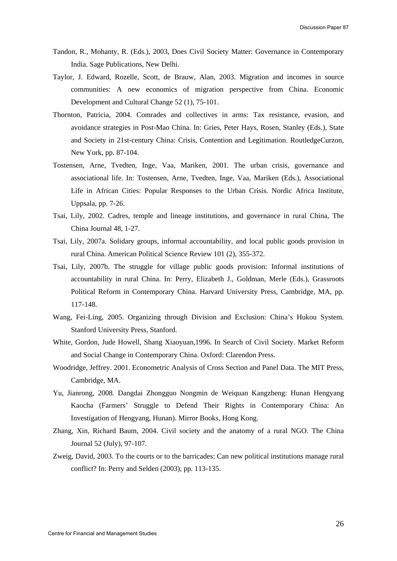- Tandon, R., Mohanty, R. (Eds.), 2003, Does Civil Society Matter: Governance in Contemporary India. Sage Publications, New Delhi.
- Taylor, J. Edward, Rozelle, Scott, de Brauw, Alan, 2003. Migration and incomes in source communities: A new economics of migration perspective from China. Economic Development and Cultural Change 52 (1), 75-101.
- Thornton, Patricia, 2004. Comrades and collectives in arms: Tax resistance, evasion, and avoidance strategies in Post-Mao China. In: Gries, Peter Hays, Rosen, Stanley (Eds.), State and Society in 21st-century China: Crisis, Contention and Legitimation. RoutledgeCurzon, New York, pp. 87-104.
- Tostensen, Arne, Tvedten, Inge, Vaa, Mariken, 2001. The urban crisis, governance and associational life. In: Tostensen, Arne, Tvedten, Inge, Vaa, Mariken (Eds.), Associational Life in African Cities: Popular Responses to the Urban Crisis. Nordic Africa Institute, Uppsala, pp. 7-26.
- Tsai, Lily, 2002. Cadres, temple and lineage institutions, and governance in rural China, The China Journal 48, 1-27.
- Tsai, Lily, 2007a. Solidary groups, informal accountability, and local public goods provision in rural China. American Political Science Review 101 (2), 355-372.
- Tsai, Lily, 2007b. The struggle for village public goods provision: Informal institutions of accountability in rural China. In: Perry, Elizabeth J., Goldman, Merle (Eds.), Grassroots Political Reform in Contemporary China. Harvard University Press, Cambridge, MA, pp. 117-148.
- Wang, Fei-Ling, 2005. Organizing through Division and Exclusion: China's Hukou System. Stanford University Press, Stanford.
- White, Gordon, Jude Howell, Shang Xiaoyuan,1996. In Search of Civil Society. Market Reform and Social Change in Contemporary China. Oxford: Clarendon Press.
- Woodridge, Jeffrey. 2001. Econometric Analysis of Cross Section and Panel Data. The MIT Press, Cambridge, MA.
- Yu, Jianrong, 2008. Dangdai Zhongguo Nongmin de Weiquan Kangzheng: Hunan Hengyang Kaocha (Farmers' Struggle to Defend Their Rights in Contemporary China: An Investigation of Hengyang, Hunan). Mirror Books, Hong Kong.
- Zhang, Xin, Richard Baum, 2004. Civil society and the anatomy of a rural NGO. The China Journal 52 (July), 97-107.
- Zweig, David, 2003. To the courts or to the barricades: Can new political institutions manage rural conflict? In: Perry and Selden (2003), pp. 113-135.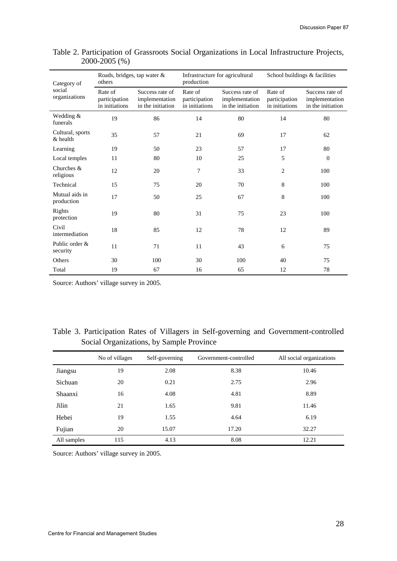| Category of<br>social<br>organizations | Roads, bridges, tap water &<br>others      |                                                        | Infrastructure for agricultural<br>production |                                                        | School buildings & facilities              |                                                        |
|----------------------------------------|--------------------------------------------|--------------------------------------------------------|-----------------------------------------------|--------------------------------------------------------|--------------------------------------------|--------------------------------------------------------|
|                                        | Rate of<br>participation<br>in initiations | Success rate of<br>implementation<br>in the initiation | Rate of<br>participation<br>in initiations    | Success rate of<br>implementation<br>in the initiation | Rate of<br>participation<br>in initiations | Success rate of<br>implementation<br>in the initiation |
| Wedding &<br>funerals                  | 19                                         | 86                                                     | 14                                            | 80                                                     | 14                                         | 80                                                     |
| Cultural, sports<br>& health           | 35                                         | 57                                                     | 21                                            | 69                                                     | 17                                         | 62                                                     |
| Learning                               | 19                                         | 50                                                     | 23                                            | 57                                                     | 17                                         | 80                                                     |
| Local temples                          | 11                                         | 80                                                     | 10                                            | 25                                                     | 5                                          | $\theta$                                               |
| Churches $&$<br>religious              | 12                                         | 20                                                     | 7                                             | 33                                                     | 2                                          | 100                                                    |
| Technical                              | 15                                         | 75                                                     | 20                                            | 70                                                     | 8                                          | 100                                                    |
| Mutual aids in<br>production           | 17                                         | 50                                                     | 25                                            | 67                                                     | 8                                          | 100                                                    |
| Rights<br>protection                   | 19                                         | 80                                                     | 31                                            | 75                                                     | 23                                         | 100                                                    |
| Civil<br>intermediation                | 18                                         | 85                                                     | 12                                            | 78                                                     | 12                                         | 89                                                     |
| Public order &<br>security             | 11                                         | 71                                                     | 11                                            | 43                                                     | 6                                          | 75                                                     |
| Others                                 | 30                                         | 100                                                    | 30                                            | 100                                                    | 40                                         | 75                                                     |
| Total                                  | 19                                         | 67                                                     | 16                                            | 65                                                     | 12                                         | 78                                                     |

## Table 2. Participation of Grassroots Social Organizations in Local Infrastructure Projects, 2000-2005 (%)

Source: Authors' village survey in 2005.

Table 3. Participation Rates of Villagers in Self-governing and Government-controlled Social Organizations, by Sample Province

|             | No of villages | Self-governing | Government-controlled | All social organizations |
|-------------|----------------|----------------|-----------------------|--------------------------|
| Jiangsu     | 19             | 2.08           | 8.38                  | 10.46                    |
| Sichuan     | 20             | 0.21           | 2.75                  | 2.96                     |
| Shaanxi     | 16             | 4.08           | 4.81                  | 8.89                     |
| Jilin       | 21             | 1.65           | 9.81                  | 11.46                    |
| Hebei       | 19             | 1.55           | 4.64                  | 6.19                     |
| Fujian      | 20             | 15.07          | 17.20                 | 32.27                    |
| All samples | 115            | 4.13           | 8.08                  | 12.21                    |

Source: Authors' village survey in 2005.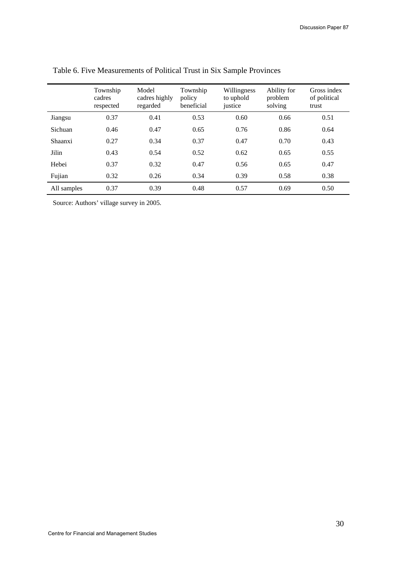|             | Township<br>cadres<br>respected | Model<br>cadres highly<br>regarded | Township<br>policy<br>beneficial | Willingness<br>to uphold<br>justice | Ability for<br>problem<br>solving | Gross index<br>of political<br>trust |
|-------------|---------------------------------|------------------------------------|----------------------------------|-------------------------------------|-----------------------------------|--------------------------------------|
| Jiangsu     | 0.37                            | 0.41                               | 0.53                             | 0.60                                | 0.66                              | 0.51                                 |
| Sichuan     | 0.46                            | 0.47                               | 0.65                             | 0.76                                | 0.86                              | 0.64                                 |
| Shaanxi     | 0.27                            | 0.34                               | 0.37                             | 0.47                                | 0.70                              | 0.43                                 |
| Jilin       | 0.43                            | 0.54                               | 0.52                             | 0.62                                | 0.65                              | 0.55                                 |
| Hebei       | 0.37                            | 0.32                               | 0.47                             | 0.56                                | 0.65                              | 0.47                                 |
| Fujian      | 0.32                            | 0.26                               | 0.34                             | 0.39                                | 0.58                              | 0.38                                 |
| All samples | 0.37                            | 0.39                               | 0.48                             | 0.57                                | 0.69                              | 0.50                                 |

Table 6. Five Measurements of Political Trust in Six Sample Provinces

Source: Authors' village survey in 2005.